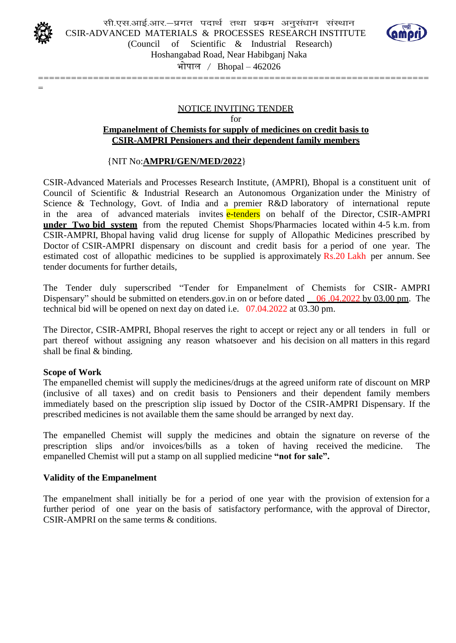

=



Hoshangabad Road, Near Habibganj Naka

भोपाल / Bhopal – 462026

=======================================================================

#### NOTICE INVITING TENDER

for

#### **Empanelment of Chemists for supply of medicines on credit basis to CSIR-AMPRI Pensioners and their dependent family members**

#### {NIT No:**AMPRI/GEN/MED/2022**}

CSIR-Advanced Materials and Processes Research Institute, (AMPRI), Bhopal is a constituent unit of Council of Scientific & Industrial Research an Autonomous Organization under the Ministry of Science & Technology, Govt. of India and a premier R&D laboratory of international repute in the area of advanced materials invites e-tenders on behalf of the Director, CSIR-AMPRI **under Two bid system** from the reputed Chemist Shops/Pharmacies located within 4-5 k.m. from CSIR-AMPRI, Bhopal having valid drug license for supply of Allopathic Medicines prescribed by Doctor of CSIR-AMPRI dispensary on discount and credit basis for a period of one year. The estimated cost of allopathic medicines to be supplied is approximately Rs.20 Lakh per annum. See tender documents for further details,

The Tender duly superscribed "Tender for Empanelment of Chemists for CSIR- AMPRI Dispensary" should be submitted on etenders.gov.in on or before dated  $\frac{06.04.2022 \text{ by } 03.00 \text{ pm}}{1000 \text{ cm}}$ . The technical bid will be opened on next day on dated i.e. 07.04.2022 at 03.30 pm.

The Director, CSIR-AMPRI, Bhopal reserves the right to accept or reject any or all tenders in full or part thereof without assigning any reason whatsoever and his decision on all matters in this regard shall be final & binding.

#### **Scope of Work**

The empanelled chemist will supply the medicines/drugs at the agreed uniform rate of discount on MRP (inclusive of all taxes) and on credit basis to Pensioners and their dependent family members immediately based on the prescription slip issued by Doctor of the CSIR-AMPRI Dispensary. If the prescribed medicines is not available them the same should be arranged by next day.

The empanelled Chemist will supply the medicines and obtain the signature on reverse of the prescription slips and/or invoices/bills as a token of having received the medicine. The empanelled Chemist will put a stamp on all supplied medicine **"not for sale".**

#### **Validity of the Empanelment**

The empanelment shall initially be for a period of one year with the provision of extension for a further period of one year on the basis of satisfactory performance, with the approval of Director, CSIR-AMPRI on the same terms & conditions.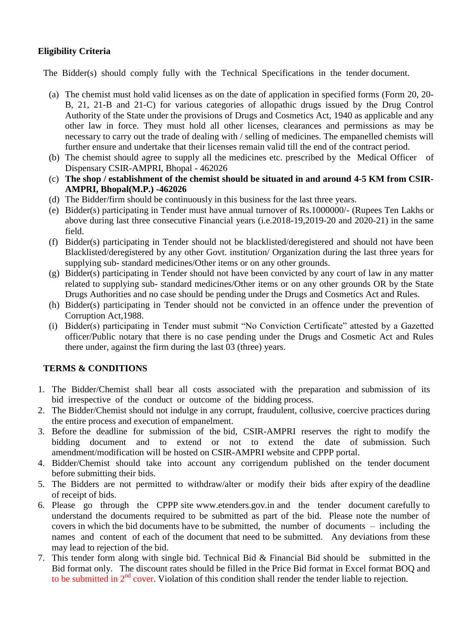## **Eligibility Criteria**

The Bidder(s) should comply fully with the Technical Specifications in the tender document.

- (a) The chemist must hold valid licenses as on the date of application in specified forms (Form 20, 20- B, 21, 21-B and 21-C) for various categories of allopathic drugs issued by the Drug Control Authority of the State under the provisions of Drugs and Cosmetics Act, 1940 as applicable and any other law in force. They must hold all other licenses, clearances and permissions as may be necessary to carry out the trade of dealing with / selling of medicines. The empanelled chemists will further ensure and undertake that their licenses remain valid till the end of the contract period.
- (b) The chemist should agree to supply all the medicines etc. prescribed by the Medical Officer of Dispensary CSIR-AMPRI, Bhopal - 462026
- (c) **The shop / establishment of the chemist should be situated in and around 4-5 KM from CSIR-AMPRI, Bhopal(M.P.) -462026**
- (d) The Bidder/firm should be continuously in this business for the last three years.
- (e) Bidder(s) participating in Tender must have annual turnover of Rs.1000000/- (Rupees Ten Lakhs or above during last three consecutive Financial years (i.e.2018-19,2019-20 and 2020-21) in the same field.
- (f) Bidder(s) participating in Tender should not be blacklisted/deregistered and should not have been Blacklisted/deregistered by any other Govt. institution/ Organization during the last three years for supplying sub- standard medicines/Other items or on any other grounds.
- (g) Bidder(s) participating in Tender should not have been convicted by any court of law in any matter related to supplying sub- standard medicines/Other items or on any other grounds OR by the State Drugs Authorities and no case should be pending under the Drugs and Cosmetics Act and Rules.
- (h) Bidder(s) participating in Tender should not be convicted in an offence under the prevention of Corruption Act,1988.
- (i) Bidder(s) participating in Tender must submit "No Conviction Certificate" attested by a Gazetted officer/Public notary that there is no case pending under the Drugs and Cosmetic Act and Rules there under, against the firm during the last 03 (three) years.

# **TERMS & CONDITIONS**

- 1. The Bidder/Chemist shall bear all costs associated with the preparation and submission of its bid irrespective of the conduct or outcome of the bidding process.
- 2. The Bidder/Chemist should not indulge in any corrupt, fraudulent, collusive, coercive practices during the entire process and execution of empanelment.
- 3. Before the deadline for submission of the bid, CSIR-AMPRI reserves the right to modify the bidding document and to extend or not to extend the date of submission. Such amendment/modification will be hosted on CSIR-AMPRI website and CPPP portal.
- 4. Bidder/Chemist should take into account any corrigendum published on the tender document before submitting their bids.
- 5. The Bidders are not permitted to withdraw/alter or modify their bids after expiry of the deadline of receipt of bids.
- 6. Please go through the CPPP site [www.etenders.gov.in](http://www.etenders.gov.in/) and the tender document carefully to understand the documents required to be submitted as part of the bid. Please note the number of covers in which the bid documents have to be submitted, the number of documents – including the names and content of each of the document that need to be submitted. Any deviations from these may lead to rejection of the bid.
- 7. This tender form along with single bid. Technical Bid & Financial Bid should be submitted in the Bid format only. The discount rates should be filled in the Price Bid format in Excel format BOQ and to be submitted in  $2<sup>nd</sup>$  cover. Violation of this condition shall render the tender liable to rejection.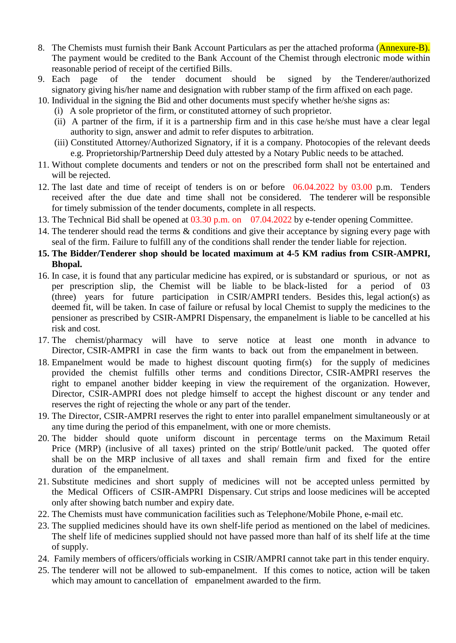- 8. The Chemists must furnish their Bank Account Particulars as per the attached proforma (Annexure-B). The payment would be credited to the Bank Account of the Chemist through electronic mode within reasonable period of receipt of the certified Bills.
- 9. Each page of the tender document should be signed by the Tenderer/authorized signatory giving his/her name and designation with rubber stamp of the firm affixed on each page.
- 10. Individual in the signing the Bid and other documents must specify whether he/she signs as:
	- (i) A sole proprietor of the firm, or constituted attorney of such proprietor.
	- (ii) A partner of the firm, if it is a partnership firm and in this case he/she must have a clear legal authority to sign, answer and admit to refer disputes to arbitration.
	- (iii) Constituted Attorney/Authorized Signatory, if it is a company. Photocopies of the relevant deeds e.g. Proprietorship/Partnership Deed duly attested by a Notary Public needs to be attached.
- 11. Without complete documents and tenders or not on the prescribed form shall not be entertained and will be rejected.
- 12. The last date and time of receipt of tenders is on or before 06.04.2022 by 03.00 p.m. Tenders received after the due date and time shall not be considered. The tenderer will be responsible for timely submission of the tender documents, complete in all respects.
- 13. The Technical Bid shall be opened at 03.30 p.m. on 07.04.2022 by e-tender opening Committee.
- 14. The tenderer should read the terms & conditions and give their acceptance by signing every page with seal of the firm. Failure to fulfill any of the conditions shall render the tender liable for rejection.
- **15. The Bidder/Tenderer shop should be located maximum at 4-5 KM radius from CSIR-AMPRI, Bhopal.**
- 16. In case, it is found that any particular medicine has expired, or is substandard or spurious, or not as per prescription slip, the Chemist will be liable to be black-listed for a period of 03 (three) years for future participation in CSIR/AMPRI tenders. Besides this, legal action(s) as deemed fit, will be taken. In case of failure or refusal by local Chemist to supply the medicines to the pensioner as prescribed by CSIR-AMPRI Dispensary, the empanelment is liable to be cancelled at his risk and cost.
- 17. The chemist/pharmacy will have to serve notice at least one month in advance to Director, CSIR-AMPRI in case the firm wants to back out from the empanelment in between.
- 18. Empanelment would be made to highest discount quoting firm(s) for the supply of medicines provided the chemist fulfills other terms and conditions Director, CSIR-AMPRI reserves the right to empanel another bidder keeping in view the requirement of the organization. However, Director, CSIR-AMPRI does not pledge himself to accept the highest discount or any tender and reserves the right of rejecting the whole or any part of the tender.
- 19. The Director, CSIR-AMPRI reserves the right to enter into parallel empanelment simultaneously or at any time during the period of this empanelment, with one or more chemists.
- 20. The bidder should quote uniform discount in percentage terms on the Maximum Retail Price (MRP) (inclusive of all taxes) printed on the strip/ Bottle/unit packed. The quoted offer shall be on the MRP inclusive of all taxes and shall remain firm and fixed for the entire duration of the empanelment.
- 21. Substitute medicines and short supply of medicines will not be accepted unless permitted by the Medical Officers of CSIR-AMPRI Dispensary. Cut strips and loose medicines will be accepted only after showing batch number and expiry date.
- 22. The Chemists must have communication facilities such as Telephone/Mobile Phone, e-mail etc.
- 23. The supplied medicines should have its own shelf-life period as mentioned on the label of medicines. The shelf life of medicines supplied should not have passed more than half of its shelf life at the time of supply.
- 24. Family members of officers/officials working in CSIR/AMPRI cannot take part in this tender enquiry.
- 25. The tenderer will not be allowed to sub-empanelment. If this comes to notice, action will be taken which may amount to cancellation of empanelment awarded to the firm.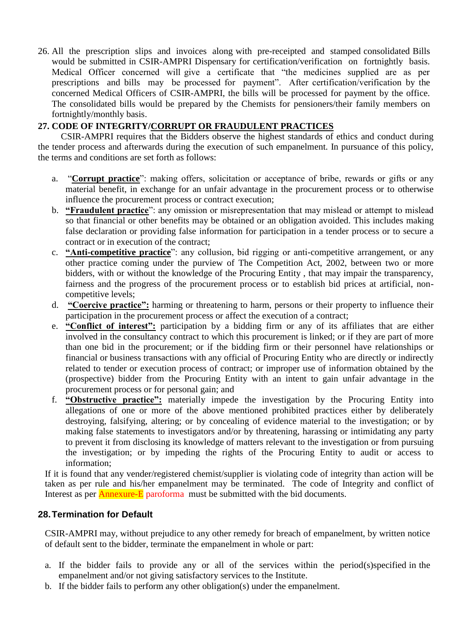26. All the prescription slips and invoices along with pre-receipted and stamped consolidated Bills would be submitted in CSIR-AMPRI Dispensary for certification/verification on fortnightly basis. Medical Officer concerned will give a certificate that "the medicines supplied are as per prescriptions and bills may be processed for payment". After certification/verification by the concerned Medical Officers of CSIR-AMPRI, the bills will be processed for payment by the office. The consolidated bills would be prepared by the Chemists for pensioners/their family members on fortnightly/monthly basis.

## **27. CODE OF INTEGRITY/CORRUPT OR FRAUDULENT PRACTICES**

 CSIR-AMPRI requires that the Bidders observe the highest standards of ethics and conduct during the tender process and afterwards during the execution of such empanelment. In pursuance of this policy, the terms and conditions are set forth as follows:

- a. "**Corrupt practice**": making offers, solicitation or acceptance of bribe, rewards or gifts or any material benefit, in exchange for an unfair advantage in the procurement process or to otherwise influence the procurement process or contract execution;
- b. **"Fraudulent practice**": any omission or misrepresentation that may mislead or attempt to mislead so that financial or other benefits may be obtained or an obligation avoided. This includes making false declaration or providing false information for participation in a tender process or to secure a contract or in execution of the contract;
- c. **"Anti-competitive practice**": any collusion, bid rigging or anti-competitive arrangement, or any other practice coming under the purview of The Competition Act, 2002, between two or more bidders, with or without the knowledge of the Procuring Entity , that may impair the transparency, fairness and the progress of the procurement process or to establish bid prices at artificial, noncompetitive levels;
- d. **"Coercive practice":** harming or threatening to harm, persons or their property to influence their participation in the procurement process or affect the execution of a contract;
- e. **"Conflict of interest":** participation by a bidding firm or any of its affiliates that are either involved in the consultancy contract to which this procurement is linked; or if they are part of more than one bid in the procurement; or if the bidding firm or their personnel have relationships or financial or business transactions with any official of Procuring Entity who are directly or indirectly related to tender or execution process of contract; or improper use of information obtained by the (prospective) bidder from the Procuring Entity with an intent to gain unfair advantage in the procurement process or for personal gain; and
- f. **"Obstructive practice":** materially impede the investigation by the Procuring Entity into allegations of one or more of the above mentioned prohibited practices either by deliberately destroying, falsifying, altering; or by concealing of evidence material to the investigation; or by making false statements to investigators and/or by threatening, harassing or intimidating any party to prevent it from disclosing its knowledge of matters relevant to the investigation or from pursuing the investigation; or by impeding the rights of the Procuring Entity to audit or access to information;

If it is found that any vender/registered chemist/supplier is violating code of integrity than action will be taken as per rule and his/her empanelment may be terminated. The code of Integrity and conflict of Interest as per **Annexure-E** paroforma must be submitted with the bid documents.

### **28.Termination for Default**

CSIR-AMPRI may, without prejudice to any other remedy for breach of empanelment, by written notice of default sent to the bidder, terminate the empanelment in whole or part:

- a. If the bidder fails to provide any or all of the services within the period(s)specified in the empanelment and/or not giving satisfactory services to the Institute.
- b. If the bidder fails to perform any other obligation(s) under the empanelment.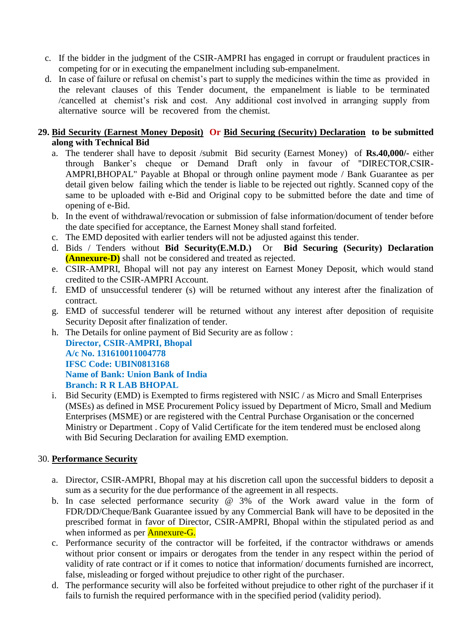- c. If the bidder in the judgment of the CSIR-AMPRI has engaged in corrupt or fraudulent practices in competing for or in executing the empanelment including sub-empanelment.
- d. In case of failure or refusal on chemist's part to supply the medicines within the time as provided in the relevant clauses of this Tender document, the empanelment is liable to be terminated /cancelled at chemist's risk and cost. Any additional cost involved in arranging supply from alternative source will be recovered from the chemist.

### **29. Bid Security (Earnest Money Deposit) Or Bid Securing (Security) Declaration to be submitted along with Technical Bid**

- a. The tenderer shall have to deposit /submit Bid security (Earnest Money) of **Rs.40,000/-** either through Banker's cheque or Demand Draft only in favour of "DIRECTOR,CSIR-AMPRI,BHOPAL" Payable at Bhopal or through online payment mode / Bank Guarantee as per detail given below failing which the tender is liable to be rejected out rightly. Scanned copy of the same to be uploaded with e-Bid and Original copy to be submitted before the date and time of opening of e-Bid.
- b. In the event of withdrawal/revocation or submission of false information/document of tender before the date specified for acceptance, the Earnest Money shall stand forfeited.
- c. The EMD deposited with earlier tenders will not be adjusted against this tender.
- d. Bids / Tenders without **Bid Security(E.M.D.)** Or **Bid Securing (Security) Declaration (Annexure-D)** shall not be considered and treated as rejected.
- e. CSIR-AMPRI, Bhopal will not pay any interest on Earnest Money Deposit, which would stand credited to the CSIR-AMPRI Account.
- f. EMD of unsuccessful tenderer (s) will be returned without any interest after the finalization of contract.
- g. EMD of successful tenderer will be returned without any interest after deposition of requisite Security Deposit after finalization of tender.
- h. The Details for online payment of Bid Security are as follow :

**Director, CSIR-AMPRI, Bhopal A/c No. 131610011004778 IFSC Code: UBIN0813168 Name of Bank: Union Bank of India Branch: R R LAB BHOPAL**

i. Bid Security (EMD) is Exempted to firms registered with NSIC / as Micro and Small Enterprises (MSEs) as defined in MSE Procurement Policy issued by Department of Micro, Small and Medium Enterprises (MSME) or are registered with the Central Purchase Organisation or the concerned Ministry or Department . Copy of Valid Certificate for the item tendered must be enclosed along with Bid Securing Declaration for availing EMD exemption.

# 30. **Performance Security**

- a. Director, CSIR-AMPRI, Bhopal may at his discretion call upon the successful bidders to deposit a sum as a security for the due performance of the agreement in all respects.
- b. In case selected performance security @ 3% of the Work award value in the form of FDR/DD/Cheque/Bank Guarantee issued by any Commercial Bank will have to be deposited in the prescribed format in favor of Director, CSIR-AMPRI, Bhopal within the stipulated period as and when informed as per **Annexure-G**.
- c. Performance security of the contractor will be forfeited, if the contractor withdraws or amends without prior consent or impairs or derogates from the tender in any respect within the period of validity of rate contract or if it comes to notice that information/ documents furnished are incorrect, false, misleading or forged without prejudice to other right of the purchaser.
- d. The performance security will also be forfeited without prejudice to other right of the purchaser if it fails to furnish the required performance with in the specified period (validity period).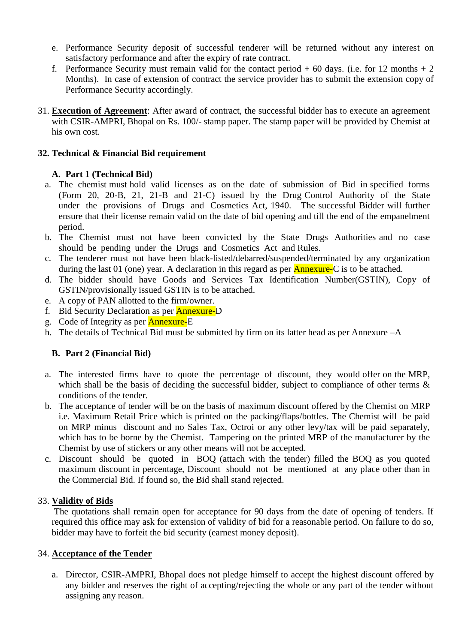- e. Performance Security deposit of successful tenderer will be returned without any interest on satisfactory performance and after the expiry of rate contract.
- f. Performance Security must remain valid for the contact period  $+ 60$  days. (i.e. for 12 months  $+ 2$ Months). In case of extension of contract the service provider has to submit the extension copy of Performance Security accordingly.
- 31. **Execution of Agreement**: After award of contract, the successful bidder has to execute an agreement with CSIR-AMPRI, Bhopal on Rs. 100/- stamp paper. The stamp paper will be provided by Chemist at his own cost.

## **32. Technical & Financial Bid requirement**

## **A. Part 1 (Technical Bid)**

- a. The chemist must hold valid licenses as on the date of submission of Bid in specified forms (Form 20, 20-B, 21, 21-B and 21-C) issued by the Drug Control Authority of the State under the provisions of Drugs and Cosmetics Act, 1940. The successful Bidder will further ensure that their license remain valid on the date of bid opening and till the end of the empanelment period.
- b. The Chemist must not have been convicted by the State Drugs Authorities and no case should be pending under the Drugs and Cosmetics Act and Rules.
- c. The tenderer must not have been black-listed/debarred/suspended/terminated by any organization during the last 01 (one) year. A declaration in this regard as per  $\triangle$  Annexure-C is to be attached.
- d. The bidder should have Goods and Services Tax Identification Number(GSTIN), Copy of GSTIN/provisionally issued GSTIN is to be attached.
- e. A copy of PAN allotted to the firm/owner.
- f. Bid Security Declaration as per Annexure-D
- g. Code of Integrity as per Annexure-E
- h. The details of Technical Bid must be submitted by firm on its latter head as per Annexure –A

### **B. Part 2 (Financial Bid)**

- a. The interested firms have to quote the percentage of discount, they would offer on the MRP, which shall be the basis of deciding the successful bidder, subject to compliance of other terms  $\&$ conditions of the tender.
- b. The acceptance of tender will be on the basis of maximum discount offered by the Chemist on MRP i.e. Maximum Retail Price which is printed on the packing/flaps/bottles. The Chemist will be paid on MRP minus discount and no Sales Tax, Octroi or any other levy/tax will be paid separately, which has to be borne by the Chemist. Tampering on the printed MRP of the manufacturer by the Chemist by use of stickers or any other means will not be accepted.
- c. Discount should be quoted in BOQ (attach with the tender) filled the BOQ as you quoted maximum discount in percentage, Discount should not be mentioned at any place other than in the Commercial Bid. If found so, the Bid shall stand rejected.

### 33. **Validity of Bids**

The quotations shall remain open for acceptance for 90 days from the date of opening of tenders. If required this office may ask for extension of validity of bid for a reasonable period. On failure to do so, bidder may have to forfeit the bid security (earnest money deposit).

### 34. **Acceptance of the Tender**

a. Director, CSIR-AMPRI, Bhopal does not pledge himself to accept the highest discount offered by any bidder and reserves the right of accepting/rejecting the whole or any part of the tender without assigning any reason.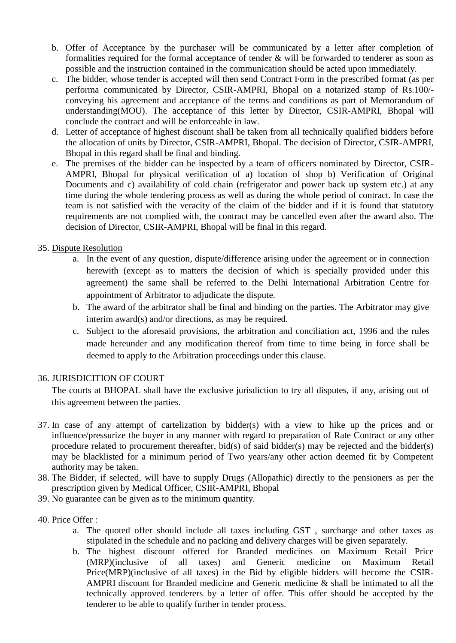- b. Offer of Acceptance by the purchaser will be communicated by a letter after completion of formalities required for the formal acceptance of tender & will be forwarded to tenderer as soon as possible and the instruction contained in the communication should be acted upon immediately.
- c. The bidder, whose tender is accepted will then send Contract Form in the prescribed format (as per performa communicated by Director, CSIR-AMPRI, Bhopal on a notarized stamp of Rs.100/ conveying his agreement and acceptance of the terms and conditions as part of Memorandum of understanding(MOU). The acceptance of this letter by Director, CSIR-AMPRI, Bhopal will conclude the contract and will be enforceable in law.
- d. Letter of acceptance of highest discount shall be taken from all technically qualified bidders before the allocation of units by Director, CSIR-AMPRI, Bhopal. The decision of Director, CSIR-AMPRI, Bhopal in this regard shall be final and binding.
- e. The premises of the bidder can be inspected by a team of officers nominated by Director, CSIR-AMPRI, Bhopal for physical verification of a) location of shop b) Verification of Original Documents and c) availability of cold chain (refrigerator and power back up system etc.) at any time during the whole tendering process as well as during the whole period of contract. In case the team is not satisfied with the veracity of the claim of the bidder and if it is found that statutory requirements are not complied with, the contract may be cancelled even after the award also. The decision of Director, CSIR-AMPRI, Bhopal will be final in this regard.

## 35. Dispute Resolution

- a. In the event of any question, dispute/difference arising under the agreement or in connection herewith (except as to matters the decision of which is specially provided under this agreement) the same shall be referred to the Delhi International Arbitration Centre for appointment of Arbitrator to adjudicate the dispute.
- b. The award of the arbitrator shall be final and binding on the parties. The Arbitrator may give interim award(s) and/or directions, as may be required.
- c. Subject to the aforesaid provisions, the arbitration and conciliation act, 1996 and the rules made hereunder and any modification thereof from time to time being in force shall be deemed to apply to the Arbitration proceedings under this clause.

### 36. JURISDICITION OF COURT

The courts at BHOPAL shall have the exclusive jurisdiction to try all disputes, if any, arising out of this agreement between the parties.

- 37. In case of any attempt of cartelization by bidder(s) with a view to hike up the prices and or influence/pressurize the buyer in any manner with regard to preparation of Rate Contract or any other procedure related to procurement thereafter, bid(s) of said bidder(s) may be rejected and the bidder(s) may be blacklisted for a minimum period of Two years/any other action deemed fit by Competent authority may be taken.
- 38. The Bidder, if selected, will have to supply Drugs (Allopathic) directly to the pensioners as per the prescription given by Medical Officer, CSIR-AMPRI, Bhopal
- 39. No guarantee can be given as to the minimum quantity.
- 40. Price Offer :
	- a. The quoted offer should include all taxes including GST , surcharge and other taxes as stipulated in the schedule and no packing and delivery charges will be given separately.
	- b. The highest discount offered for Branded medicines on Maximum Retail Price (MRP)(inclusive of all taxes) and Generic medicine on Maximum Retail Price(MRP)(inclusive of all taxes) in the Bid by eligible bidders will become the CSIR-AMPRI discount for Branded medicine and Generic medicine & shall be intimated to all the technically approved tenderers by a letter of offer. This offer should be accepted by the tenderer to be able to qualify further in tender process.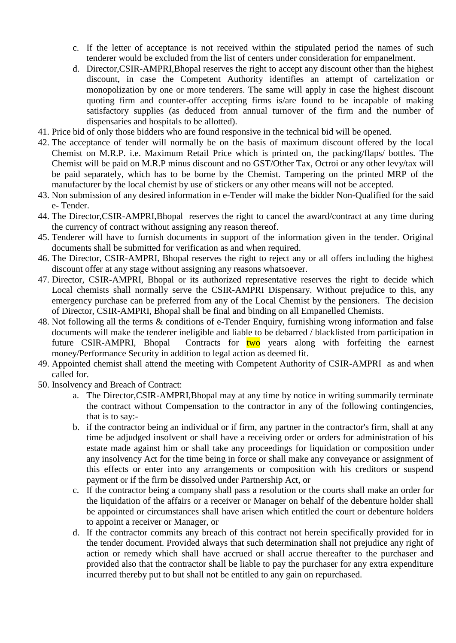- c. If the letter of acceptance is not received within the stipulated period the names of such tenderer would be excluded from the list of centers under consideration for empanelment.
- d. Director,CSIR-AMPRI,Bhopal reserves the right to accept any discount other than the highest discount, in case the Competent Authority identifies an attempt of cartelization or monopolization by one or more tenderers. The same will apply in case the highest discount quoting firm and counter-offer accepting firms is/are found to be incapable of making satisfactory supplies (as deduced from annual turnover of the firm and the number of dispensaries and hospitals to be allotted).
- 41. Price bid of only those bidders who are found responsive in the technical bid will be opened.
- 42. The acceptance of tender will normally be on the basis of maximum discount offered by the local Chemist on M.R.P. i.e. Maximum Retail Price which is printed on, the packing/flaps/ bottles. The Chemist will be paid on M.R.P minus discount and no GST/Other Tax, Octroi or any other levy/tax will be paid separately, which has to be borne by the Chemist. Tampering on the printed MRP of the manufacturer by the local chemist by use of stickers or any other means will not be accepted.
- 43. Non submission of any desired information in e-Tender will make the bidder Non-Qualified for the said e- Tender.
- 44. The Director,CSIR-AMPRI,Bhopal reserves the right to cancel the award/contract at any time during the currency of contract without assigning any reason thereof.
- 45. Tenderer will have to furnish documents in support of the information given in the tender. Original documents shall be submitted for verification as and when required.
- 46. The Director, CSIR-AMPRI, Bhopal reserves the right to reject any or all offers including the highest discount offer at any stage without assigning any reasons whatsoever.
- 47. Director, CSIR-AMPRI, Bhopal or its authorized representative reserves the right to decide which Local chemists shall normally serve the CSIR-AMPRI Dispensary. Without prejudice to this, any emergency purchase can be preferred from any of the Local Chemist by the pensioners. The decision of Director, CSIR-AMPRI, Bhopal shall be final and binding on all Empanelled Chemists.
- 48. Not following all the terms & conditions of e-Tender Enquiry, furnishing wrong information and false documents will make the tenderer ineligible and liable to be debarred / blacklisted from participation in future CSIR-AMPRI, Bhopal Contracts for two years along with forfeiting the earnest money/Performance Security in addition to legal action as deemed fit.
- 49. Appointed chemist shall attend the meeting with Competent Authority of CSIR-AMPRI as and when called for.
- 50. Insolvency and Breach of Contract:
	- a. The Director,CSIR-AMPRI,Bhopal may at any time by notice in writing summarily terminate the contract without Compensation to the contractor in any of the following contingencies, that is to say:-
	- b. if the contractor being an individual or if firm, any partner in the contractor's firm, shall at any time be adjudged insolvent or shall have a receiving order or orders for administration of his estate made against him or shall take any proceedings for liquidation or composition under any insolvency Act for the time being in force or shall make any conveyance or assignment of this effects or enter into any arrangements or composition with his creditors or suspend payment or if the firm be dissolved under Partnership Act, or
	- c. If the contractor being a company shall pass a resolution or the courts shall make an order for the liquidation of the affairs or a receiver or Manager on behalf of the debenture holder shall be appointed or circumstances shall have arisen which entitled the court or debenture holders to appoint a receiver or Manager, or
	- d. If the contractor commits any breach of this contract not herein specifically provided for in the tender document. Provided always that such determination shall not prejudice any right of action or remedy which shall have accrued or shall accrue thereafter to the purchaser and provided also that the contractor shall be liable to pay the purchaser for any extra expenditure incurred thereby put to but shall not be entitled to any gain on repurchased.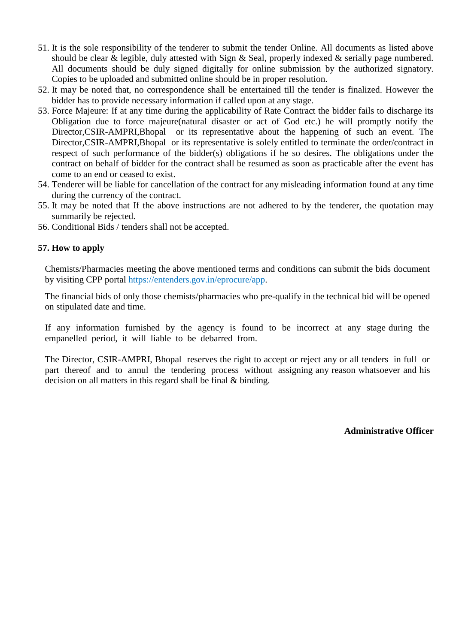- 51. It is the sole responsibility of the tenderer to submit the tender Online. All documents as listed above should be clear & legible, duly attested with Sign & Seal, properly indexed & serially page numbered. All documents should be duly signed digitally for online submission by the authorized signatory. Copies to be uploaded and submitted online should be in proper resolution.
- 52. It may be noted that, no correspondence shall be entertained till the tender is finalized. However the bidder has to provide necessary information if called upon at any stage.
- 53. Force Majeure: If at any time during the applicability of Rate Contract the bidder fails to discharge its Obligation due to force majeure(natural disaster or act of God etc.) he will promptly notify the Director,CSIR-AMPRI,Bhopal or its representative about the happening of such an event. The Director,CSIR-AMPRI,Bhopal or its representative is solely entitled to terminate the order/contract in respect of such performance of the bidder(s) obligations if he so desires. The obligations under the contract on behalf of bidder for the contract shall be resumed as soon as practicable after the event has come to an end or ceased to exist.
- 54. Tenderer will be liable for cancellation of the contract for any misleading information found at any time during the currency of the contract.
- 55. It may be noted that If the above instructions are not adhered to by the tenderer, the quotation may summarily be rejected.
- 56. Conditional Bids / tenders shall not be accepted.

#### **57. How to apply**

Chemists/Pharmacies meeting the above mentioned terms and conditions can submit the bids document by visiting CPP portal https://entenders.gov.in/eprocure/app.

The financial bids of only those chemists/pharmacies who pre-qualify in the technical bid will be opened on stipulated date and time.

If any information furnished by the agency is found to be incorrect at any stage during the empanelled period, it will liable to be debarred from.

The Director, CSIR-AMPRI, Bhopal reserves the right to accept or reject any or all tenders in full or part thereof and to annul the tendering process without assigning any reason whatsoever and his decision on all matters in this regard shall be final & binding.

**Administrative Officer**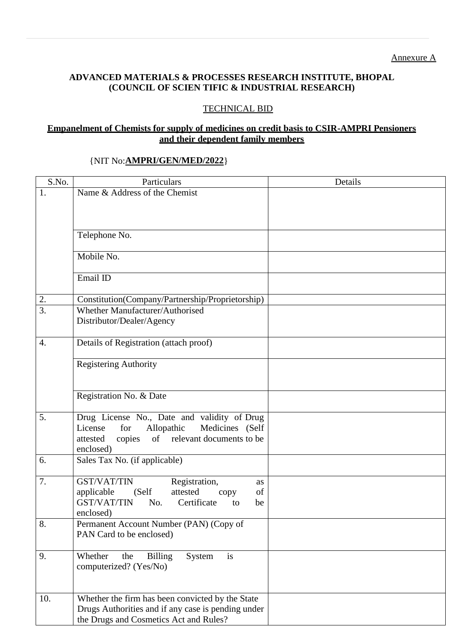# **ADVANCED MATERIALS & PROCESSES RESEARCH INSTITUTE, BHOPAL (COUNCIL OF SCIEN TIFIC & INDUSTRIAL RESEARCH)**

## TECHNICAL BID

#### **Empanelment of Chemists for supply of medicines on credit basis to CSIR-AMPRI Pensioners and their dependent family members**

#### {NIT No:**AMPRI/GEN/MED/2022**}

| S.No.            | Particulars                                                                                    | Details |
|------------------|------------------------------------------------------------------------------------------------|---------|
| 1.               | Name & Address of the Chemist                                                                  |         |
|                  |                                                                                                |         |
|                  |                                                                                                |         |
|                  |                                                                                                |         |
|                  | Telephone No.                                                                                  |         |
|                  | Mobile No.                                                                                     |         |
|                  |                                                                                                |         |
|                  | Email ID                                                                                       |         |
| 2.               | Constitution(Company/Partnership/Proprietorship)                                               |         |
| $\overline{3}$ . | Whether Manufacturer/Authorised                                                                |         |
|                  | Distributor/Dealer/Agency                                                                      |         |
|                  |                                                                                                |         |
| 4.               | Details of Registration (attach proof)                                                         |         |
|                  | <b>Registering Authority</b>                                                                   |         |
|                  |                                                                                                |         |
|                  |                                                                                                |         |
|                  | Registration No. & Date                                                                        |         |
| 5.               |                                                                                                |         |
|                  | Drug License No., Date and validity of Drug<br>Allopathic<br>Medicines (Self<br>License<br>for |         |
|                  | of relevant documents to be<br>copies<br>attested                                              |         |
|                  | enclosed)                                                                                      |         |
| 6.               | Sales Tax No. (if applicable)                                                                  |         |
|                  |                                                                                                |         |
| 7.               | <b>GST/VAT/TIN</b><br>Registration,<br>as                                                      |         |
|                  | applicable<br>(Self<br>attested<br>of<br>copy                                                  |         |
|                  | Certificate<br><b>GST/VAT/TIN</b><br>No.<br>to<br>be                                           |         |
|                  | enclosed)                                                                                      |         |
| 8.               | Permanent Account Number (PAN) (Copy of                                                        |         |
|                  | PAN Card to be enclosed)                                                                       |         |
|                  |                                                                                                |         |
| 9.               | Whether<br><b>Billing</b><br>is<br>the<br>System<br>computerized? (Yes/No)                     |         |
|                  |                                                                                                |         |
|                  |                                                                                                |         |
| 10.              | Whether the firm has been convicted by the State                                               |         |
|                  | Drugs Authorities and if any case is pending under                                             |         |
|                  | the Drugs and Cosmetics Act and Rules?                                                         |         |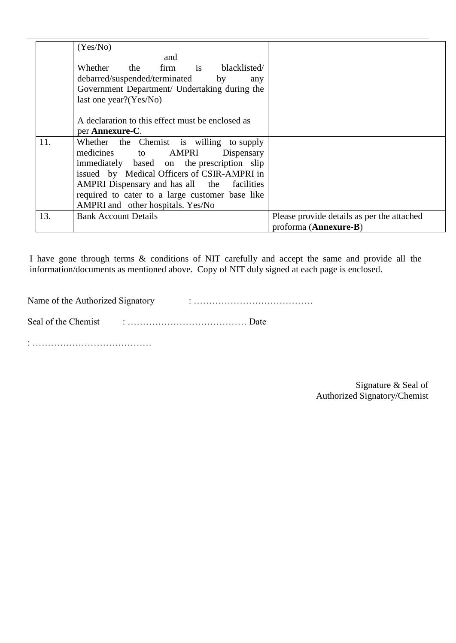|     | (Yes/No)                                         |                                            |
|-----|--------------------------------------------------|--------------------------------------------|
|     | and                                              |                                            |
|     | Whether the firm is blacklisted/                 |                                            |
|     | debarred/suspended/terminated by<br>any          |                                            |
|     | Government Department/ Undertaking during the    |                                            |
|     | last one year? $(Yes/No)$                        |                                            |
|     |                                                  |                                            |
|     | A declaration to this effect must be enclosed as |                                            |
|     | per Annexure-C.                                  |                                            |
| 11. | Whether the Chemist is willing to supply         |                                            |
|     | medicines to AMPRI<br>Dispensary                 |                                            |
|     | immediately based on the prescription slip       |                                            |
|     | issued by Medical Officers of CSIR-AMPRI in      |                                            |
|     | AMPRI Dispensary and has all the facilities      |                                            |
|     | required to cater to a large customer base like  |                                            |
|     | AMPRI and other hospitals. Yes/No                |                                            |
| 13. | <b>Bank Account Details</b>                      | Please provide details as per the attached |
|     |                                                  | proforma (Annexure-B)                      |

I have gone through terms & conditions of NIT carefully and accept the same and provide all the information/documents as mentioned above. Copy of NIT duly signed at each page is enclosed.

Name of the Authorized Signatory : …………………………………

Seal of the Chemist : ………………………………… Date

: …………………………………

Signature & Seal of Authorized Signatory/Chemist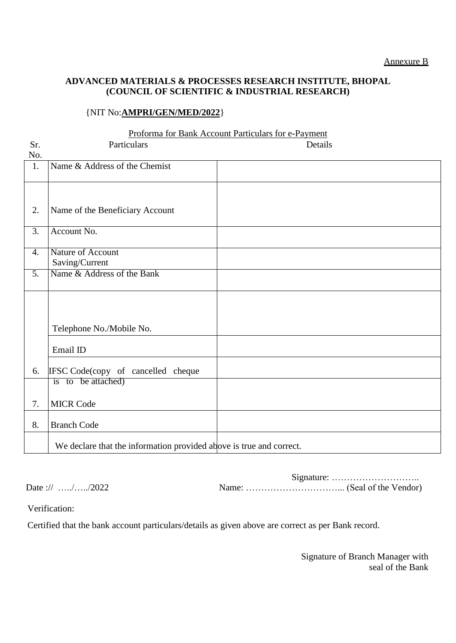## **ADVANCED MATERIALS & PROCESSES RESEARCH INSTITUTE, BHOPAL (COUNCIL OF SCIENTIFIC & INDUSTRIAL RESEARCH)**

## {NIT No:**AMPRI/GEN/MED/2022**}

#### Proforma for Bank Account Particulars for e-Payment

| Sr.              | Particulars                                                         | Details |  |
|------------------|---------------------------------------------------------------------|---------|--|
| No.              |                                                                     |         |  |
| 1.               | Name & Address of the Chemist                                       |         |  |
|                  |                                                                     |         |  |
|                  |                                                                     |         |  |
| 2.               | Name of the Beneficiary Account                                     |         |  |
|                  |                                                                     |         |  |
| $\overline{3}$ . | Account No.                                                         |         |  |
|                  |                                                                     |         |  |
| $\overline{4}$ . | <b>Nature of Account</b>                                            |         |  |
|                  | Saving/Current                                                      |         |  |
| $\overline{5}$ . | Name & Address of the Bank                                          |         |  |
|                  |                                                                     |         |  |
|                  |                                                                     |         |  |
|                  |                                                                     |         |  |
|                  | Telephone No./Mobile No.                                            |         |  |
|                  |                                                                     |         |  |
|                  | Email ID                                                            |         |  |
|                  |                                                                     |         |  |
| 6.               | IFSC Code(copy of cancelled cheque                                  |         |  |
|                  | is to be attached)                                                  |         |  |
| 7.               | <b>MICR Code</b>                                                    |         |  |
|                  |                                                                     |         |  |
| 8.               | <b>Branch Code</b>                                                  |         |  |
|                  | We declare that the information provided above is true and correct. |         |  |
|                  |                                                                     |         |  |

Signature: ……………………….. Date :// …../…../2022 Name: …………………………... (Seal of the Vendor)

Verification:

 $\Omega$ .

Certified that the bank account particulars/details as given above are correct as per Bank record.

Signature of Branch Manager with seal of the Bank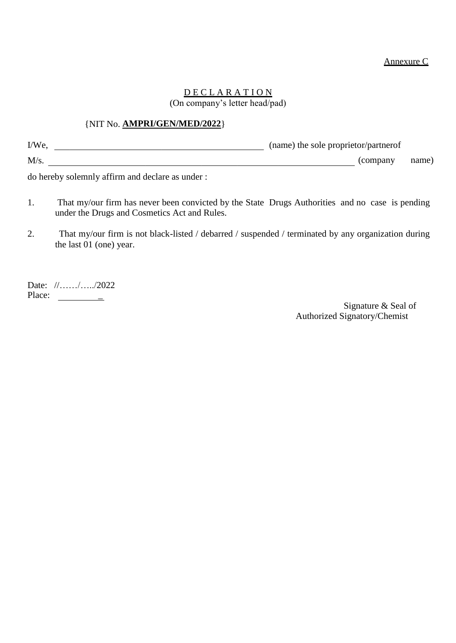#### Annexure C

### <u>D E C L A R A T I O N</u> (On company's letter head/pad)

#### {NIT No. **AMPRI/GEN/MED/2022**}

| I/We, | (name) the sole proprietor/partnerof |       |
|-------|--------------------------------------|-------|
| M/s.  | (company)                            | name) |

do hereby solemnly affirm and declare as under :

- 1. That my/our firm has never been convicted by the State Drugs Authorities and no case is pending under the Drugs and Cosmetics Act and Rules.
- 2. That my/our firm is not black-listed / debarred / suspended / terminated by any organization during the last 01 (one) year.

Date: //……/…../2022 Place:  $\qquad \qquad \qquad$ 

Signature & Seal of Authorized Signatory/Chemist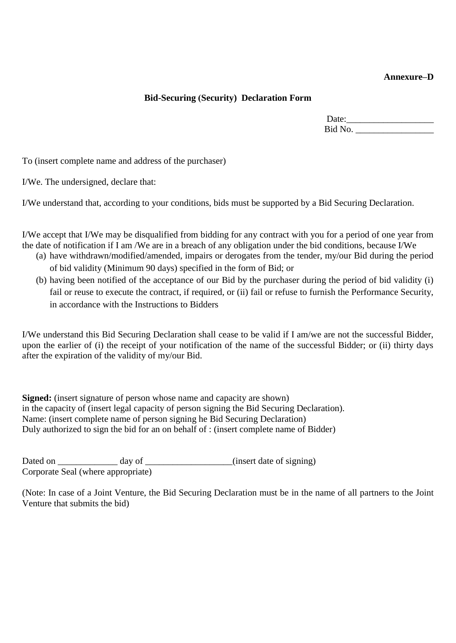### **Annexure–D**

#### **Bid-Securing (Security) Declaration Form**

Date:\_\_\_\_\_\_\_\_\_\_\_\_\_\_\_\_\_\_\_ Bid No. \_\_\_\_\_\_\_\_\_\_\_\_\_\_\_\_\_

To (insert complete name and address of the purchaser)

I/We. The undersigned, declare that:

I/We understand that, according to your conditions, bids must be supported by a Bid Securing Declaration.

I/We accept that I/We may be disqualified from bidding for any contract with you for a period of one year from the date of notification if I am /We are in a breach of any obligation under the bid conditions, because I/We

- (a) have withdrawn/modified/amended, impairs or derogates from the tender, my/our Bid during the period of bid validity (Minimum 90 days) specified in the form of Bid; or
- (b) having been notified of the acceptance of our Bid by the purchaser during the period of bid validity (i) fail or reuse to execute the contract, if required, or (ii) fail or refuse to furnish the Performance Security, in accordance with the Instructions to Bidders

I/We understand this Bid Securing Declaration shall cease to be valid if I am/we are not the successful Bidder, upon the earlier of (i) the receipt of your notification of the name of the successful Bidder; or (ii) thirty days after the expiration of the validity of my/our Bid.

**Signed:** (insert signature of person whose name and capacity are shown) in the capacity of (insert legal capacity of person signing the Bid Securing Declaration). Name: (insert complete name of person signing he Bid Securing Declaration) Duly authorized to sign the bid for an on behalf of : (insert complete name of Bidder)

Dated on \_\_\_\_\_\_\_\_\_\_\_\_\_\_\_\_ day of \_\_\_\_\_\_\_\_\_\_\_\_\_\_\_\_\_\_(insert date of signing) Corporate Seal (where appropriate)

(Note: In case of a Joint Venture, the Bid Securing Declaration must be in the name of all partners to the Joint Venture that submits the bid)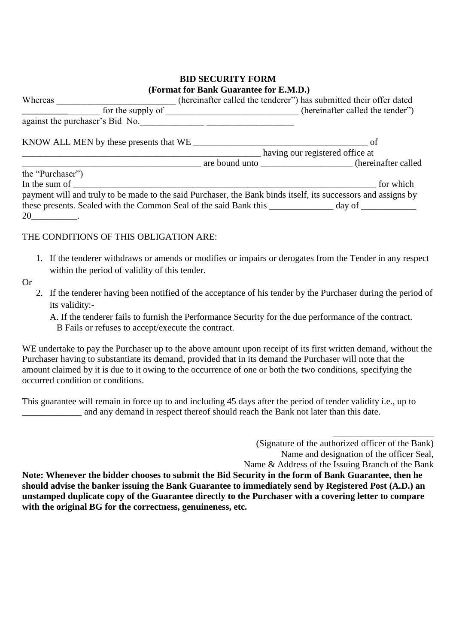## **BID SECURITY FORM (Format for Bank Guarantee for E.M.D.)**

| Whereas                                                                                                       |                                                   | (hereinafter called the tenderer") has submitted their offer dated |
|---------------------------------------------------------------------------------------------------------------|---------------------------------------------------|--------------------------------------------------------------------|
| for the supply of                                                                                             | <u> 1990 - Johann Barbara, martxa alemaniar a</u> | (hereinafter called the tender")                                   |
| against the purchaser's Bid No.                                                                               |                                                   |                                                                    |
| KNOW ALL MEN by these presents that WE                                                                        |                                                   | of                                                                 |
|                                                                                                               | having our registered office at                   |                                                                    |
|                                                                                                               |                                                   | are bound unto (hereinafter called                                 |
| the "Purchaser")                                                                                              |                                                   |                                                                    |
| In the sum of                                                                                                 |                                                   | for which                                                          |
| payment will and truly to be made to the said Purchaser, the Bank binds itself, its successors and assigns by |                                                   |                                                                    |
| these presents. Sealed with the Common Seal of the said Bank this _______________ day of ___________          |                                                   |                                                                    |
| 20                                                                                                            |                                                   |                                                                    |

### THE CONDITIONS OF THIS OBLIGATION ARE:

- 1. If the tenderer withdraws or amends or modifies or impairs or derogates from the Tender in any respect within the period of validity of this tender.
- Or
- 2. If the tenderer having been notified of the acceptance of his tender by the Purchaser during the period of its validity:-

A. If the tenderer fails to furnish the Performance Security for the due performance of the contract. B Fails or refuses to accept/execute the contract.

WE undertake to pay the Purchaser up to the above amount upon receipt of its first written demand, without the Purchaser having to substantiate its demand, provided that in its demand the Purchaser will note that the amount claimed by it is due to it owing to the occurrence of one or both the two conditions, specifying the occurred condition or conditions.

This guarantee will remain in force up to and including 45 days after the period of tender validity i.e., up to and any demand in respect thereof should reach the Bank not later than this date.

> (Signature of the authorized officer of the Bank) Name and designation of the officer Seal,

\_\_\_\_\_\_\_\_\_\_\_\_\_\_\_\_\_\_\_\_\_\_

Name & Address of the Issuing Branch of the Bank

**Note: Whenever the bidder chooses to submit the Bid Security in the form of Bank Guarantee, then he should advise the banker issuing the Bank Guarantee to immediately send by Registered Post (A.D.) an unstamped duplicate copy of the Guarantee directly to the Purchaser with a covering letter to compare with the original BG for the correctness, genuineness, etc.**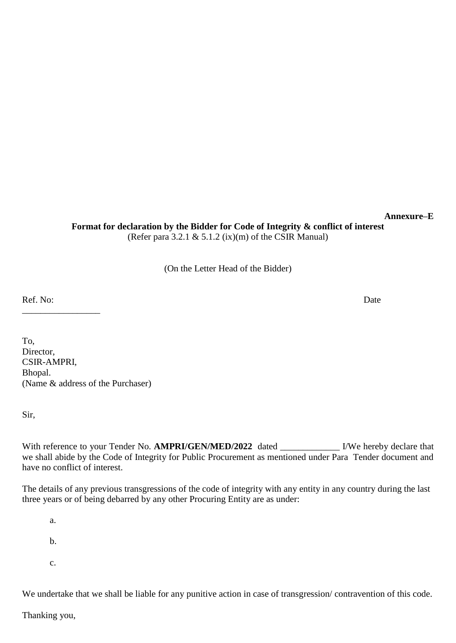**Format for declaration by the Bidder for Code of Integrity & conflict of interest** (Refer para 3.2.1  $& 5.1.2$  (ix)(m) of the CSIR Manual)

(On the Letter Head of the Bidder)

Ref. No: Date

\_\_\_\_\_\_\_\_\_\_\_\_\_\_\_\_\_

To, Director, CSIR-AMPRI, Bhopal. (Name & address of the Purchaser)

Sir,

With reference to your Tender No. **AMPRI/GEN/MED/2022** dated \_\_\_\_\_\_\_\_\_\_\_\_\_ I/We hereby declare that we shall abide by the Code of Integrity for Public Procurement as mentioned under Para Tender document and have no conflict of interest.

The details of any previous transgressions of the code of integrity with any entity in any country during the last three years or of being debarred by any other Procuring Entity are as under:

a. b. c.

We undertake that we shall be liable for any punitive action in case of transgression/ contravention of this code.

Thanking you,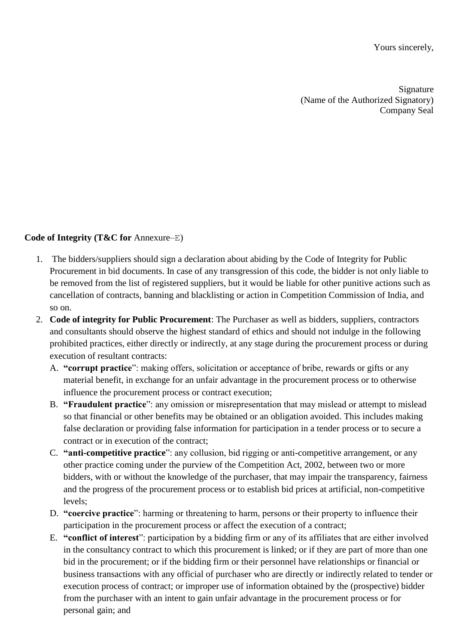Yours sincerely,

Signature (Name of the Authorized Signatory) Company Seal

### **Code of Integrity (T&C for** Annexure–E)

- 1. The bidders/suppliers should sign a declaration about abiding by the Code of Integrity for Public Procurement in bid documents. In case of any transgression of this code, the bidder is not only liable to be removed from the list of registered suppliers, but it would be liable for other punitive actions such as cancellation of contracts, banning and blacklisting or action in Competition Commission of India, and so on.
- 2. **Code of integrity for Public Procurement**: The Purchaser as well as bidders, suppliers, contractors and consultants should observe the highest standard of ethics and should not indulge in the following prohibited practices, either directly or indirectly, at any stage during the procurement process or during execution of resultant contracts:
	- A. **"corrupt practice**": making offers, solicitation or acceptance of bribe, rewards or gifts or any material benefit, in exchange for an unfair advantage in the procurement process or to otherwise influence the procurement process or contract execution;
	- B. **"Fraudulent practice**": any omission or misrepresentation that may mislead or attempt to mislead so that financial or other benefits may be obtained or an obligation avoided. This includes making false declaration or providing false information for participation in a tender process or to secure a contract or in execution of the contract;
	- C. **"anti-competitive practice**": any collusion, bid rigging or anti-competitive arrangement, or any other practice coming under the purview of the Competition Act, 2002, between two or more bidders, with or without the knowledge of the purchaser, that may impair the transparency, fairness and the progress of the procurement process or to establish bid prices at artificial, non-competitive levels;
	- D. **"coercive practice**": harming or threatening to harm, persons or their property to influence their participation in the procurement process or affect the execution of a contract;
	- E. **"conflict of interest**": participation by a bidding firm or any of its affiliates that are either involved in the consultancy contract to which this procurement is linked; or if they are part of more than one bid in the procurement; or if the bidding firm or their personnel have relationships or financial or business transactions with any official of purchaser who are directly or indirectly related to tender or execution process of contract; or improper use of information obtained by the (prospective) bidder from the purchaser with an intent to gain unfair advantage in the procurement process or for personal gain; and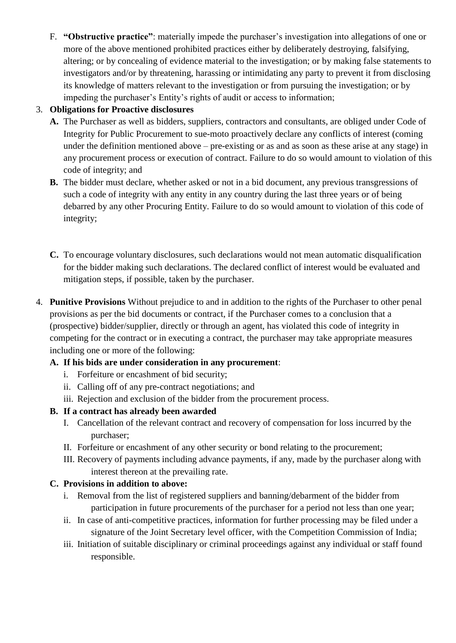F. **"Obstructive practice"**: materially impede the purchaser's investigation into allegations of one or more of the above mentioned prohibited practices either by deliberately destroying, falsifying, altering; or by concealing of evidence material to the investigation; or by making false statements to investigators and/or by threatening, harassing or intimidating any party to prevent it from disclosing its knowledge of matters relevant to the investigation or from pursuing the investigation; or by impeding the purchaser's Entity's rights of audit or access to information;

# 3. **Obligations for Proactive disclosures**

- **A.** The Purchaser as well as bidders, suppliers, contractors and consultants, are obliged under Code of Integrity for Public Procurement to sue-moto proactively declare any conflicts of interest (coming under the definition mentioned above – pre-existing or as and as soon as these arise at any stage) in any procurement process or execution of contract. Failure to do so would amount to violation of this code of integrity; and
- **B.** The bidder must declare, whether asked or not in a bid document, any previous transgressions of such a code of integrity with any entity in any country during the last three years or of being debarred by any other Procuring Entity. Failure to do so would amount to violation of this code of integrity;
- **C.** To encourage voluntary disclosures, such declarations would not mean automatic disqualification for the bidder making such declarations. The declared conflict of interest would be evaluated and mitigation steps, if possible, taken by the purchaser.
- 4. **Punitive Provisions** Without prejudice to and in addition to the rights of the Purchaser to other penal provisions as per the bid documents or contract, if the Purchaser comes to a conclusion that a (prospective) bidder/supplier, directly or through an agent, has violated this code of integrity in competing for the contract or in executing a contract, the purchaser may take appropriate measures including one or more of the following:

# **A. If his bids are under consideration in any procurement**:

- i. Forfeiture or encashment of bid security;
- ii. Calling off of any pre-contract negotiations; and
- iii. Rejection and exclusion of the bidder from the procurement process.

# **B. If a contract has already been awarded**

- I. Cancellation of the relevant contract and recovery of compensation for loss incurred by the purchaser;
- II. Forfeiture or encashment of any other security or bond relating to the procurement;
- III. Recovery of payments including advance payments, if any, made by the purchaser along with interest thereon at the prevailing rate.

# **C. Provisions in addition to above:**

- i. Removal from the list of registered suppliers and banning/debarment of the bidder from participation in future procurements of the purchaser for a period not less than one year;
- ii. In case of anti-competitive practices, information for further processing may be filed under a signature of the Joint Secretary level officer, with the Competition Commission of India;
- iii. Initiation of suitable disciplinary or criminal proceedings against any individual or staff found responsible.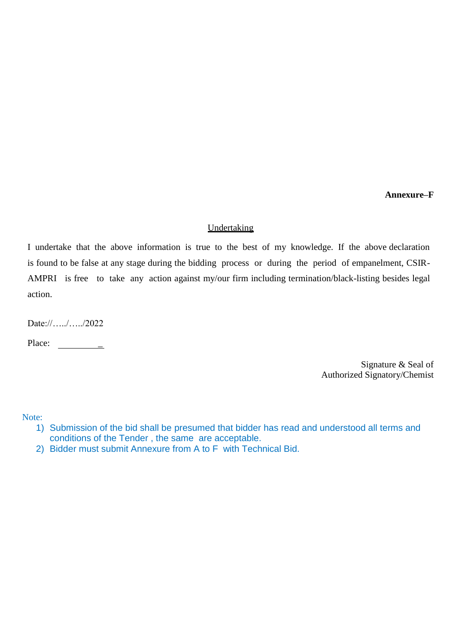**Annexure–F** 

#### Undertaking

I undertake that the above information is true to the best of my knowledge. If the above declaration is found to be false at any stage during the bidding process or during the period of empanelment, CSIR-AMPRI is free to take any action against my/our firm including termination/black-listing besides legal action.

Date://…../…../2022

Place: \_\_\_\_\_\_\_\_\_\_

Signature & Seal of Authorized Signatory/Chemist

Note:

- 1) Submission of the bid shall be presumed that bidder has read and understood all terms and conditions of the Tender , the same are acceptable.
- 2) Bidder must submit Annexure from A to F with Technical Bid.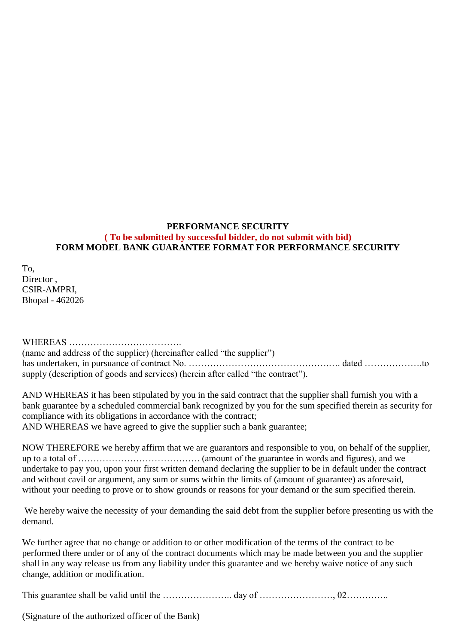### **PERFORMANCE SECURITY ( To be submitted by successful bidder, do not submit with bid) FORM MODEL BANK GUARANTEE FORMAT FOR PERFORMANCE SECURITY**

To, Director, CSIR-AMPRI, Bhopal - 462026

WHEREAS ………………………………. (name and address of the supplier) (hereinafter called "the supplier") has undertaken, in pursuance of contract No. ………………………………………………………………………………to supply (description of goods and services) (herein after called "the contract").

AND WHEREAS it has been stipulated by you in the said contract that the supplier shall furnish you with a bank guarantee by a scheduled commercial bank recognized by you for the sum specified therein as security for compliance with its obligations in accordance with the contract;

AND WHEREAS we have agreed to give the supplier such a bank guarantee;

NOW THEREFORE we hereby affirm that we are guarantors and responsible to you, on behalf of the supplier, up to a total of …………………………………. (amount of the guarantee in words and figures), and we undertake to pay you, upon your first written demand declaring the supplier to be in default under the contract and without cavil or argument, any sum or sums within the limits of (amount of guarantee) as aforesaid, without your needing to prove or to show grounds or reasons for your demand or the sum specified therein.

We hereby waive the necessity of your demanding the said debt from the supplier before presenting us with the demand.

We further agree that no change or addition to or other modification of the terms of the contract to be performed there under or of any of the contract documents which may be made between you and the supplier shall in any way release us from any liability under this guarantee and we hereby waive notice of any such change, addition or modification.

This guarantee shall be valid until the ………………….. day of ……………………, 02…………..

(Signature of the authorized officer of the Bank)